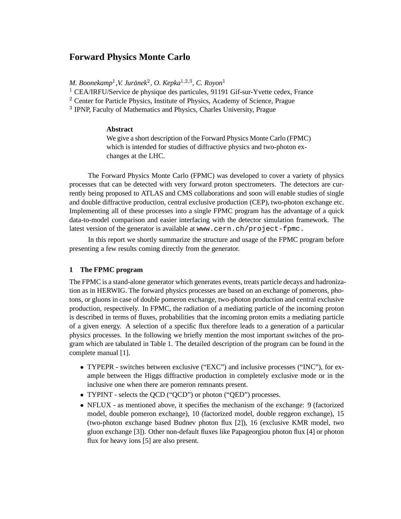# **Forward Physics Monte Carlo**

*M. Boonekamp*<sup>1</sup> *,V. Juranek ´* 2 *, O. Kepka*1,2,<sup>3</sup> *, C. Royon*<sup>1</sup>

 $1$  CEA/IRFU/Service de physique des particules, 91191 Gif-sur-Yvette cedex, France

 $2$  Center for Particle Physics, Institute of Physics, Academy of Science, Prague

<sup>3</sup> IPNP, Faculty of Mathematics and Physics, Charles University, Prague

### **Abstract**

We give a short description of the Forward Physics Monte Carlo (FPMC) which is intended for studies of diffractive physics and two-photon exchanges at the LHC.

The Forward Physics Monte Carlo (FPMC) was developed to cover a variety of physics processes that can be detected with very forward proton spectrometers. The detectors are currently being proposed to ATLAS and CMS collaborations and soon will enable studies of single and double diffractive production, central exclusive production (CEP), two-photon exchange etc. Implementing all of these processes into a single FPMC program has the advantage of a quick data-to-model comparison and easier interfacing with the detector simulation framework. The latest version of the generator is available at www.cern.ch/project-fpmc.

In this report we shortly summarize the structure and usage of the FPMC program before presenting a few results coming directly from the generator.

# **1 The FPMC program**

The FPMC is a stand-alone generator which generates events, treats particle decays and hadronization as in HERWIG. The forward physics processes are based on an exchange of pomerons, photons, or gluons in case of double pomeron exchange, two-photon production and central exclusive production, respectively. In FPMC, the radiation of a mediating particle of the incoming proton is described in terms of fluxes, probabilities that the incoming proton emits a mediating particle of a given energy. A selection of a specific flux therefore leads to a generation of a particular physics processes. In the following we briefly mention the most important switches of the program which are tabulated in Table 1. The detailed description of the program can be found in the complete manual [1].

- TYPEPR switches between exclusive ("EXC") and inclusive processes ("INC"), for example between the Higgs diffractive production in completely exclusive mode or in the inclusive one when there are pomeron remnants present.
- TYPINT selects the QCD ("QCD") or photon ("QED") processes.
- NFLUX as mentioned above, it specifies the mechanism of the exchange: 9 (factorized model, double pomeron exchange), 10 (factorized model, double reggeon exchange), 15 (two-photon exchange based Budnev photon flux [2]), 16 (exclusive KMR model, two gluon exchange [3]). Other non-default fluxes like Papageorgiou photon flux [4] or photon flux for heavy ions [5] are also present.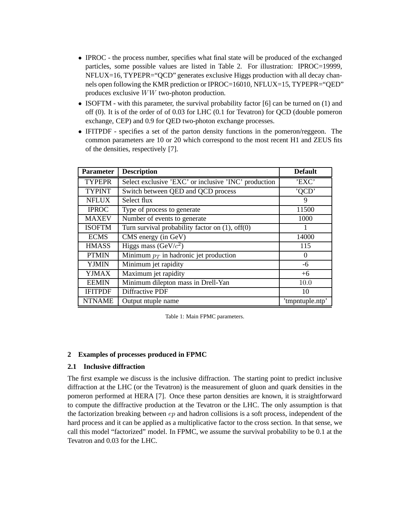- IPROC the process number, specifies what final state will be produced of the exchanged particles, some possible values are listed in Table 2. For illustration: IPROC=19999, NFLUX=16, TYPEPR="QCD" generates exclusive Higgs production with all decay channels open following the KMR prediction or IPROC=16010, NFLUX=15, TYPEPR="QED" produces exclusive WW two-photon production.
- ISOFTM with this parameter, the survival probability factor [6] can be turned on (1) and off (0). It is of the order of of 0.03 for LHC (0.1 for Tevatron) for QCD (double pomeron exchange, CEP) and 0.9 for QED two-photon exchange processes.
- IFITPDF specifies a set of the parton density functions in the pomeron/reggeon. The common parameters are 10 or 20 which correspond to the most recent H1 and ZEUS fits of the densities, respectively [7].

| <b>Parameter</b> | <b>Description</b>                                    | <b>Default</b>  |
|------------------|-------------------------------------------------------|-----------------|
| <b>TYPEPR</b>    | Select exclusive 'EXC' or inclusive 'INC' production  | 'EXC'           |
| <b>TYPINT</b>    | Switch between QED and QCD process                    | 'OCD'           |
| <b>NFLUX</b>     | Select flux                                           | 9               |
| <b>IPROC</b>     | Type of process to generate                           | 11500           |
| <b>MAXEV</b>     | Number of events to generate                          | 1000            |
| <b>ISOFTM</b>    | Turn survival probability factor on $(1)$ , off $(0)$ |                 |
| <b>ECMS</b>      | CMS energy (in GeV)                                   | 14000           |
| <b>HMASS</b>     | Higgs mass ( $GeV/c^2$ )                              | 115             |
| <b>PTMIN</b>     | Minimum $p_T$ in hadronic jet production              | $\Omega$        |
| <b>YJMIN</b>     | Minimum jet rapidity                                  | -6              |
| <b>YJMAX</b>     | Maximum jet rapidity                                  | $+6$            |
| <b>EEMIN</b>     | Minimum dilepton mass in Drell-Yan                    | 10.0            |
| <b>IFITPDF</b>   | Diffractive PDF                                       | 10              |
| <b>NTNAME</b>    | Output ntuple name                                    | 'tmpntuple.ntp' |

Table 1: Main FPMC parameters.

### **2 Examples of processes produced in FPMC**

# **2.1 Inclusive diffraction**

The first example we discuss is the inclusive diffraction. The starting point to predict inclusive diffraction at the LHC (or the Tevatron) is the measurement of gluon and quark densities in the pomeron performed at HERA [7]. Once these parton densities are known, it is straightforward to compute the diffractive production at the Tevatron or the LHC. The only assumption is that the factorization breaking between  $ep$  and hadron collisions is a soft process, independent of the hard process and it can be applied as a multiplicative factor to the cross section. In that sense, we call this model "factorized" model. In FPMC, we assume the survival probability to be 0.1 at the Tevatron and 0.03 for the LHC.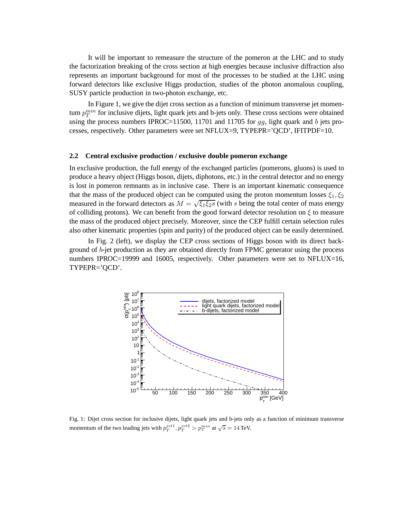It will be important to remeasure the structure of the pomeron at the LHC and to study the factorization breaking of the cross section at high energies because inclusive diffraction also represents an important background for most of the processes to be studied at the LHC using forward detectors like exclusive Higgs production, studies of the photon anomalous coupling, SUSY particle production in two-photon exchange, etc.

In Figure 1, we give the dijet cross section as a function of minimum transverse jet momentum  $p_T^{min}$  for inclusive dijets, light quark jets and b-jets only. These cross sections were obtained using the process numbers IPROC=11500, 11701 and 11705 for  $qq$ , light quark and b jets processes, respectively. Other parameters were set NFLUX=9, TYPEPR='QCD', IFITPDF=10.

#### **2.2 Central exclusive production / exclusive double pomeron exchange**

In exclusive production, the full energy of the exchanged particles (pomerons, gluons) is used to produce a heavy object (Higgs boson, dijets, diphotons, etc.) in the central detector and no energy is lost in pomeron remnants as in inclusive case. There is an important kinematic consequence that the mass of the produced object can be computed using the proton momentum losses  $\xi_1, \xi_2$ measured in the forward detectors as  $M = \sqrt{\xi_1 \xi_2 s}$  (with s being the total center of mass energy of colliding protons). We can benefit from the good forward detector resolution on  $\xi$  to measure the mass of the produced object precisely. Moreover, since the CEP fulfill certain selection rules also other kinematic properties (spin and parity) of the produced object can be easily determined.

In Fig. 2 (left), we display the CEP cross sections of Higgs boson with its direct background of b-jet production as they are obtained directly from FPMC generator using the process numbers IPROC=19999 and 16005, respectively. Other parameters were set to NFLUX=16, TYPEPR='QCD'.



Fig. 1: Dijet cross section for inclusive dijets, light quark jets and b-jets only as a function of minimum transverse momentum of the two leading jets with  $p_T^{jet1}, p_T^{jet2} > p_T^{min}$  at  $\sqrt{s} = 14$  TeV.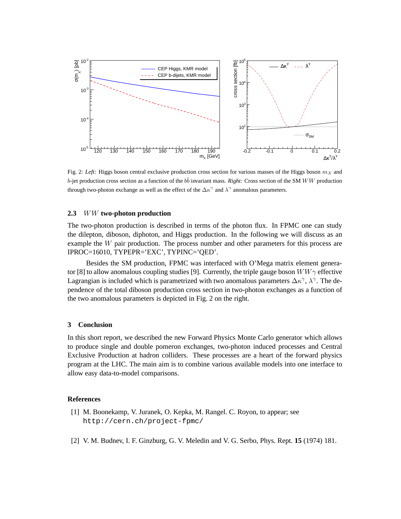

Fig. 2: *Left:* Higgs boson central exclusive production cross section for various masses of the Higgs boson  $m<sub>X</sub>$  and  $b$ -jet production cross section as a function of the  $b\bar{b}$  invariant mass. *Right:* Cross section of the SM WW production through two-photon exchange as well as the effect of the  $\Delta \kappa^{\gamma}$  and  $\lambda^{\gamma}$  anomalous parameters.

### **2.3** WW **two-photon production**

The two-photon production is described in terms of the photon flux. In FPMC one can study the dilepton, diboson, diphoton, and Higgs production. In the following we will discuss as an example the W pair production. The process number and other parameters for this process are IPROC=16010, TYPEPR='EXC', TYPINC='QED'.

Besides the SM production, FPMC was interfaced with O'Mega matrix element generator [8] to allow anomalous coupling studies [9]. Currently, the triple gauge boson  $WW\gamma$  effective Lagrangian is included which is parametrized with two anomalous parameters  $\Delta \kappa^{\gamma}$ ,  $\lambda^{\gamma}$ . The dependence of the total diboson production cross section in two-photon exchanges as a function of the two anomalous parameters is depicted in Fig. 2 on the right.

### **3 Conclusion**

In this short report, we described the new Forward Physics Monte Carlo generator which allows to produce single and double pomeron exchanges, two-photon induced processes and Central Exclusive Production at hadron colliders. These processes are a heart of the forward physics program at the LHC. The main aim is to combine various available models into one interface to allow easy data-to-model comparisons.

#### **References**

- [1] M. Boonekamp, V. Juranek, O. Kepka, M. Rangel. C. Royon, to appear; see http://cern.ch/project-fpmc/
- [2] V. M. Budnev, I. F. Ginzburg, G. V. Meledin and V. G. Serbo, Phys. Rept. **15** (1974) 181.